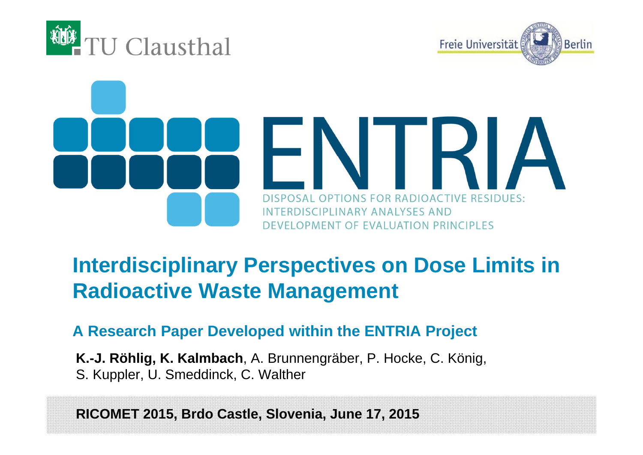





# **Interdisciplinary Perspectives on Dose Limits in Radioactive Waste Management**

**A Research Paper Developed within the ENTRIA Project**

**K.-J. Röhlig, K. Kalmbach**, A. Brunnengräber, P. Hocke, C. König, S. Kuppler, U. Smeddinck, C. Walther

**RICOMET 2015, Brdo Castle, Slovenia, June 17, 2015**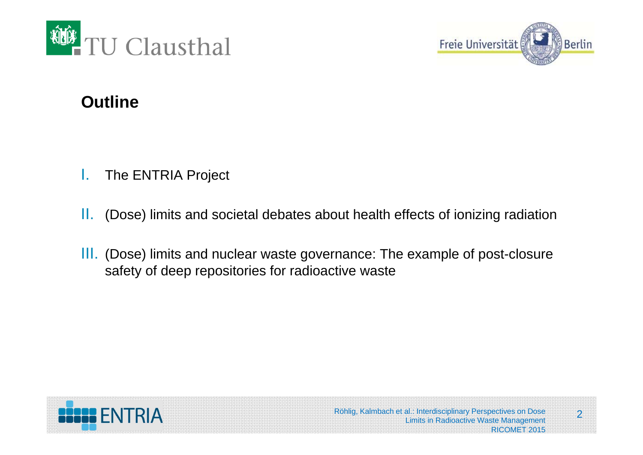



#### **Outline**

- I.The ENTRIA Project
- II.(Dose) limits and societal debates about health effects of ionizing radiation
- III. (Dose) limits and nuclear waste governance: The example of post-closure safety of deep repositories for radioactive waste

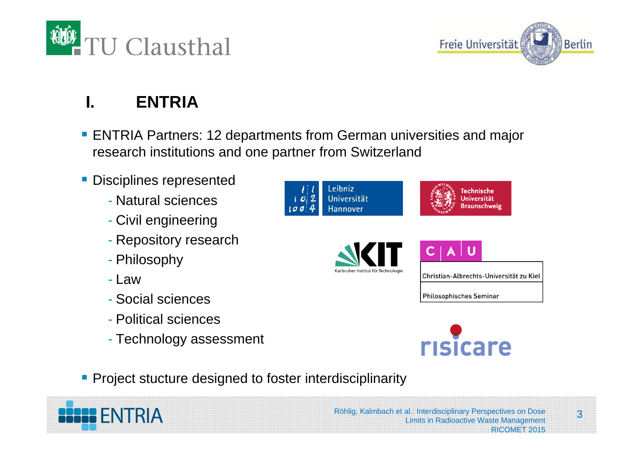



# **I. ENTRIA**

- ENTRIA Partners: 12 departments from German universities and major research institutions and one partner from Switzerland
- **Disciplines represented** 
	- Natural sciences
	- Civil engineering
	- Repository research
	- Philosophy
	- Law
	- Social sciences
	- Political sciences
	- Technology assessment





**Project stucture designed to foster interdisciplinarity** 

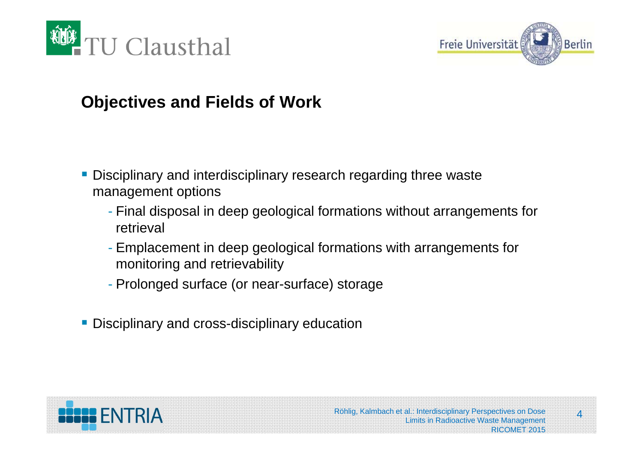



#### **Objectives and Fields of Work**

- **Disciplinary and interdisciplinary research regarding three waste** management options
	- Final disposal in deep geological formations without arrangements for retrieval
	- Emplacement in deep geological formations with arrangements for monitoring and retrievability
	- Prolonged surface (or near-surface) storage
- **Disciplinary and cross-disciplinary education**



 $\overline{\mathbf{A}}$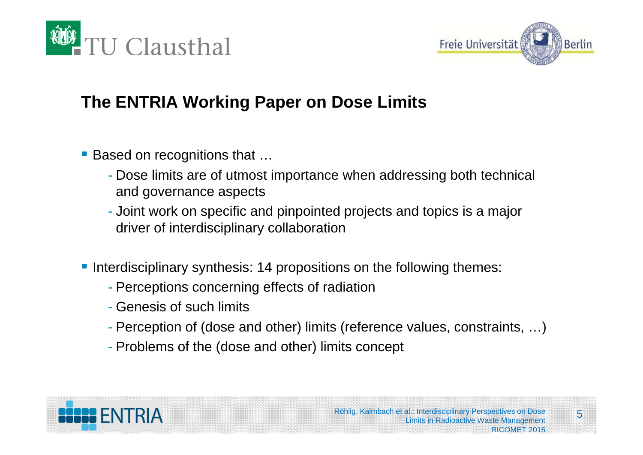



# **The ENTRIA Working Paper on Dose Limits**

- Based on recognitions that ...
	- Dose limits are of utmost importance when addressing both technical and governance aspects
	- Joint work on specific and pinpointed projects and topics is a major driver of interdisciplinary collaboration
- **Interdisciplinary synthesis: 14 propositions on the following themes:** 
	- Perceptions concerning effects of radiation
	- Genesis of such limits
	- Perception of (dose and other) limits (reference values, constraints, …)
	- Problems of the (dose and other) limits concept

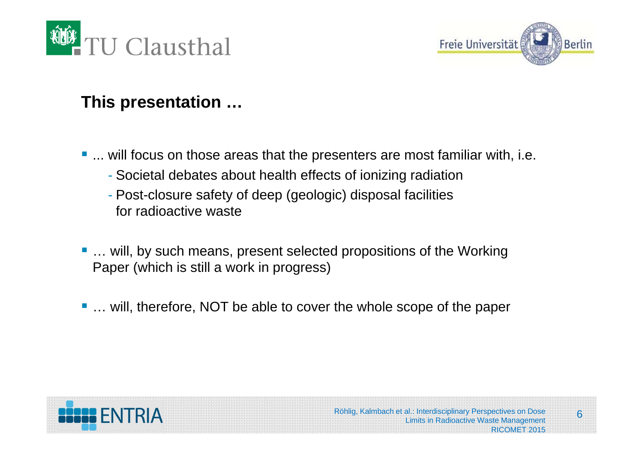



# **This presentation …**

- ... will focus on those areas that the presenters are most familiar with, i.e.
	- Societal debates about health effects of ionizing radiation
	- Post-closure safety of deep (geologic) disposal facilities for radioactive waste
- ... will, by such means, present selected propositions of the Working Paper (which is still a work in progress)
- ... will, therefore, NOT be able to cover the whole scope of the paper

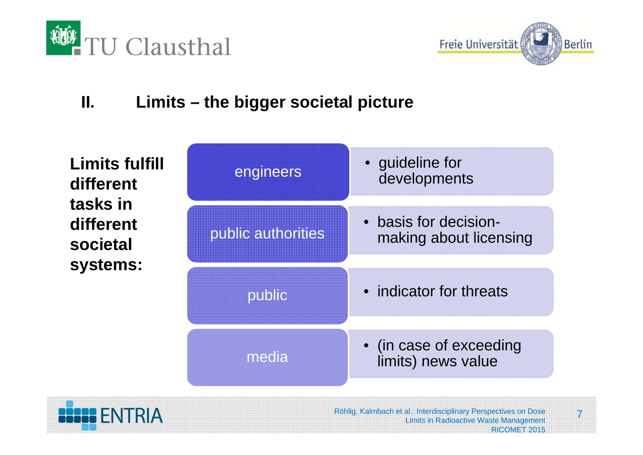



# **II. Limits – the bigger societal picture**

| <b>Limits fulfill</b><br>different<br>tasks in<br>different<br>societal<br>systems: | engineers          | • guideline for<br>developments                 |
|-------------------------------------------------------------------------------------|--------------------|-------------------------------------------------|
|                                                                                     | public authorities | • basis for decision-<br>making about licensing |
|                                                                                     | public             | • indicator for threats                         |
|                                                                                     | media              | • (in case of exceeding<br>limits) news value   |

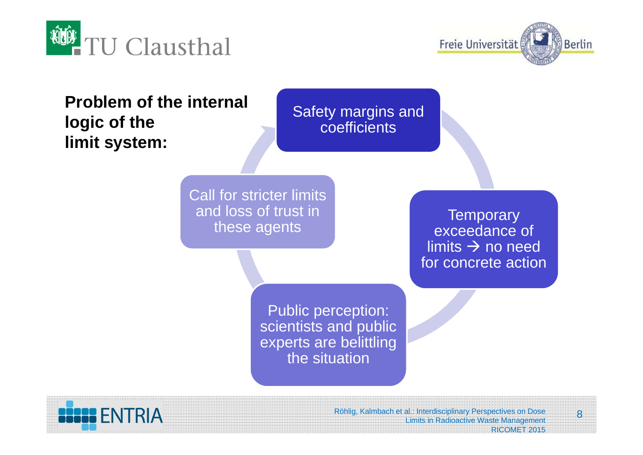



**Problem of the internal logic of the limit system:**

Safety margins and coefficients

Call for stricter limits and loss of trust in these agents

**Temporary** exceedance of limits  $\rightarrow$  no need for concrete action

Public perception: scientists and public experts are belittling the situation



Röhlig, Kalmbach et al.: Interdisciplinary Perspectives on Dose Limits in Radioactive Waste Management RICOMET 2015

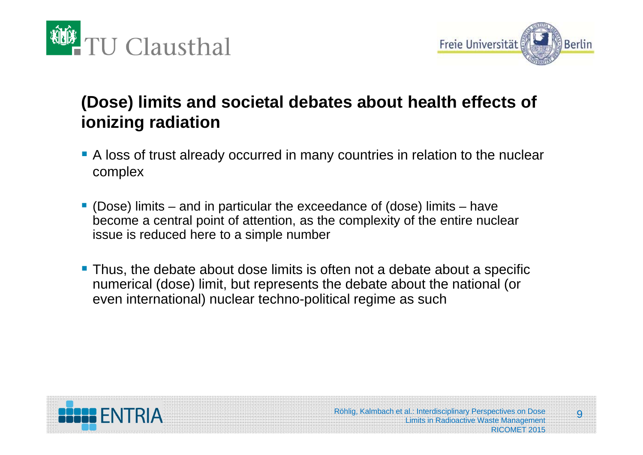



# **(Dose) limits and societal debates about health effects of ionizing radiation**

- A loss of trust already occurred in many countries in relation to the nuclear complex
- $\mathbb{R}^2$  (Dose) limits – and in particular the exceedance of (dose) limits – have become a central point of attention, as the complexity of the entire nuclear issue is reduced here to a simple number
- **Thus, the debate about dose limits is often not a debate about a specific** numerical (dose) limit, but represents the debate about the national (or even international) nuclear techno-political regime as such



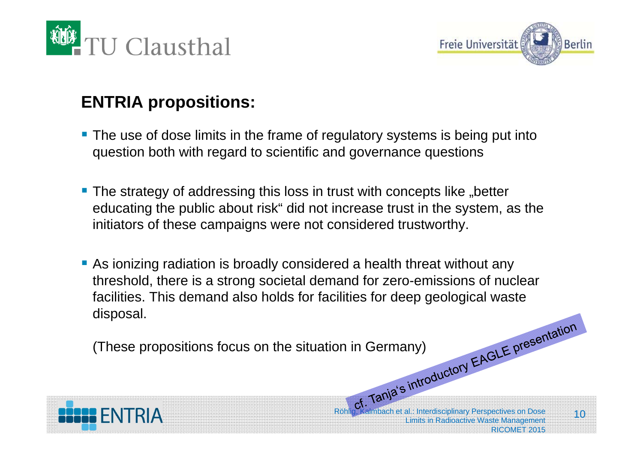



# **ENTRIA propositions:**

- **The use of dose limits in the frame of regulatory systems is being put into** question both with regard to scientific and governance questions
- The strategy of addressing this loss in trust with concepts like "better educating the public about risk" did not increase trust in the system, as the initiators of these campaigns were not considered trustworthy.
- As ionizing radiation is broadly considered a health threat without any threshold, there is a strong societal demand for zero-emissions of nuclear facilities. This demand also holds for facilities for deep geological waste disposal.

(These propositions focus on the situation in Germany)



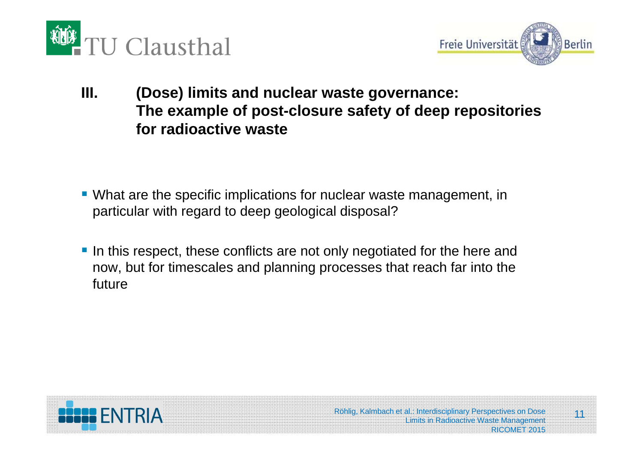



**III. (Dose) limits and nuclear waste governance: The example of post-closure safety of deep repositories for radioactive waste**

- What are the specific implications for nuclear waste management, in particular with regard to deep geological disposal?
- In this respect, these conflicts are not only negotiated for the here and now, but for timescales and planning processes that reach far into the future

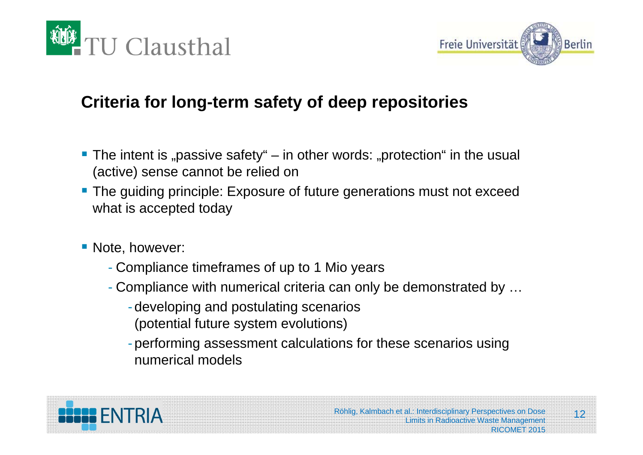



### **Criteria for long-term safety of deep repositories**

- The intent is "passive safety" in other words: "protection" in the usual (active) sense cannot be relied on
- **The guiding principle: Exposure of future generations must not exceed** what is accepted today
- **Note, however:** 
	- Compliance timeframes of up to 1 Mio years
	- Compliance with numerical criteria can only be demonstrated by …
		- developing and postulating scenarios (potential future system evolutions)
		- performing assessment calculations for these scenarios using numerical models

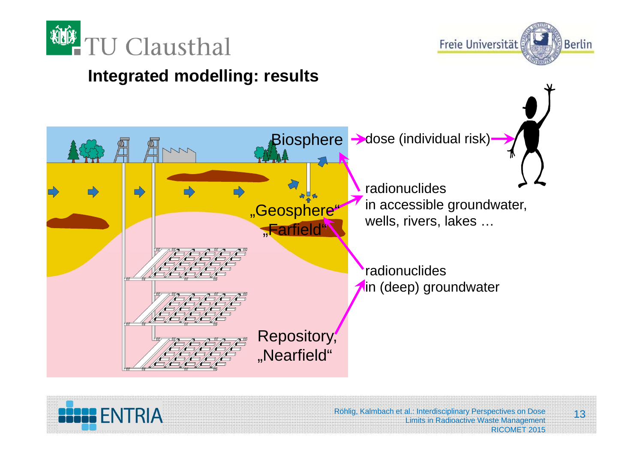



### **Integrated modelling: results**





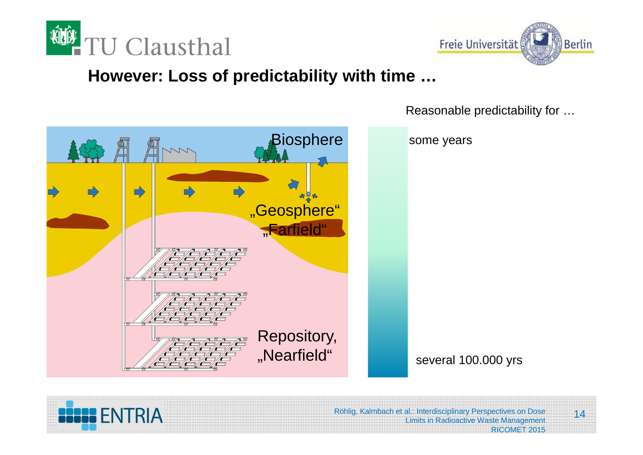



#### **However: Loss of predictability with time …**



Reasonable predictability for …

some years





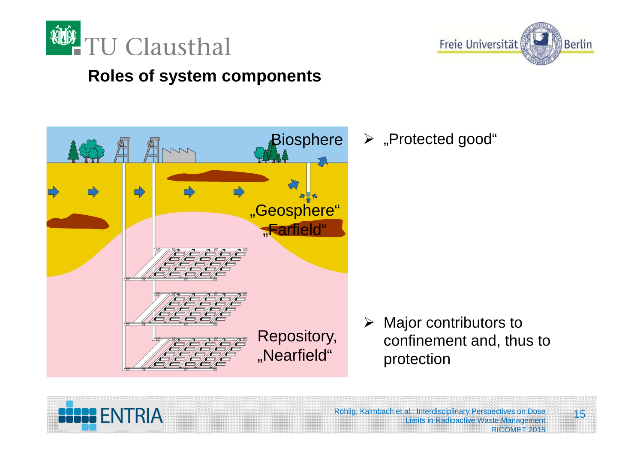

**BESSE ENTRIA** 



#### **Roles of system components**



 $\triangleright$  "Protected good"

Röhlig, Kalmbach et al.: Interdisciplinary Perspectives on Dose Limits in Radioactive Waste Management



RICOMET 2015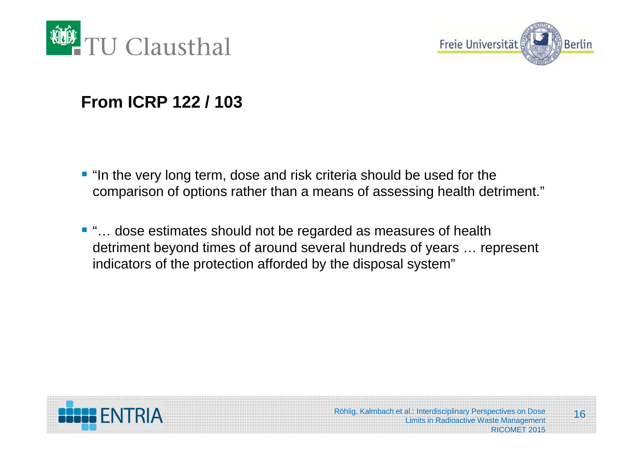



#### **From ICRP 122 / 103**

- **"** "In the very long term, dose and risk criteria should be used for the comparison of options rather than a means of assessing health detriment."
- "... dose estimates should not be regarded as measures of health detriment beyond times of around several hundreds of years … represent indicators of the protection afforded by the disposal system"



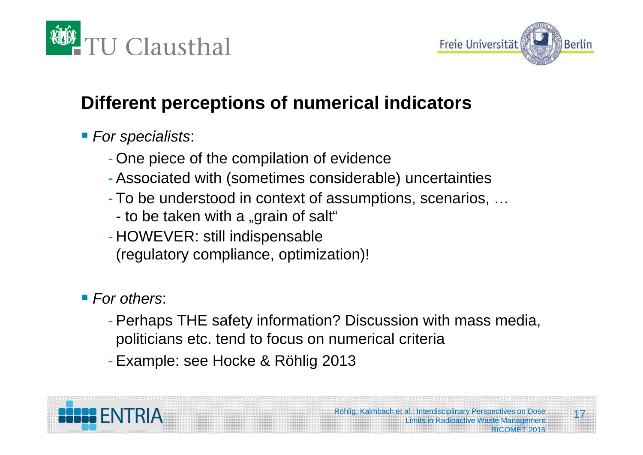



# **Different perceptions of numerical indicators**

# *For specialists*:

- One piece of the compilation of evidence
- Associated with (sometimes considerable) uncertainties
- To be understood in context of assumptions, scenarios, …
- to be taken with a "grain of salt"
- HOWEVER: still indispensable (regulatory compliance, optimization)!

# ■ For others:

- Perhaps THE safety information? Discussion with mass media, politicians etc. tend to focus on numerical criteria
- Example: see Hocke & Röhlig 2013



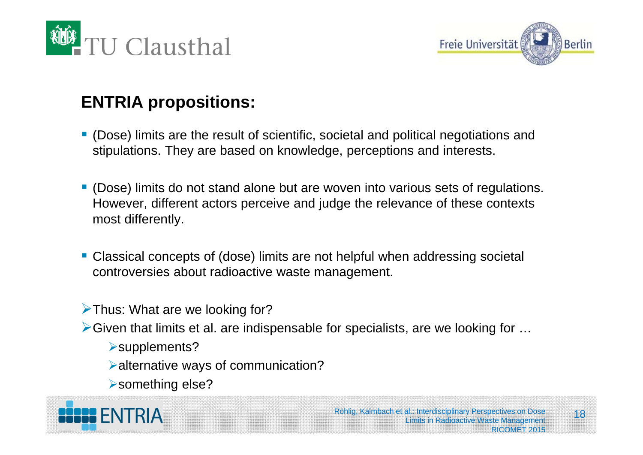



# **ENTRIA propositions:**

- (Dose) limits are the result of scientific, societal and political negotiations and stipulations. They are based on knowledge, perceptions and interests.
- $\mathcal{L}_{\mathcal{A}}$  (Dose) limits do not stand alone but are woven into various sets of regulations. However, different actors perceive and judge the relevance of these contexts most differently.
- Classical concepts of (dose) limits are not helpful when addressing societal controversies about radioactive waste management.
- $\triangleright$  Thus: What are we looking for?
- $\triangleright$  Given that limits et al. are indispensable for specialists, are we looking for  $\dots$ 
	- supplements?
	- alternative ways of communication?
	- something else?

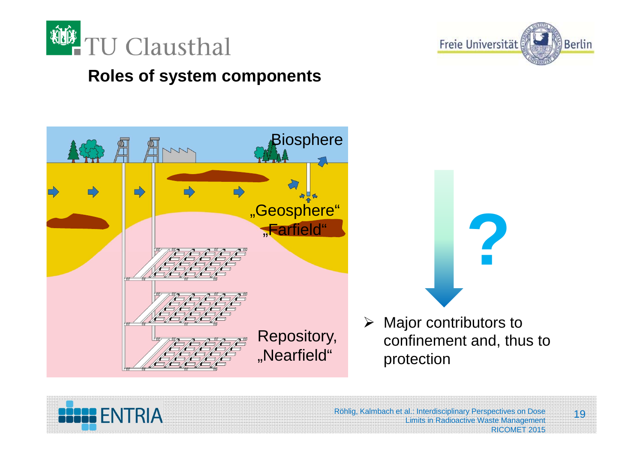



#### **Roles of system components**





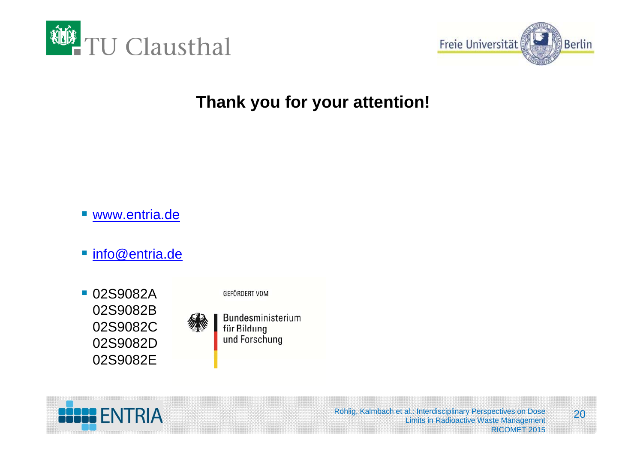



#### **Thank you for your attention!**

- www.entria.de
- info@entria.de
- **02S9082A** 02S9082B 02S9082C 02S9082D 02S9082E



Bundesministerium für Bildung

GEFÖRDERT VOM

und Forschung

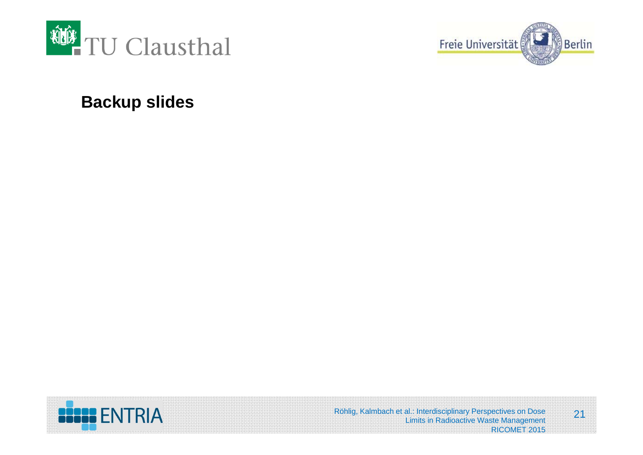



#### **Backup slides**

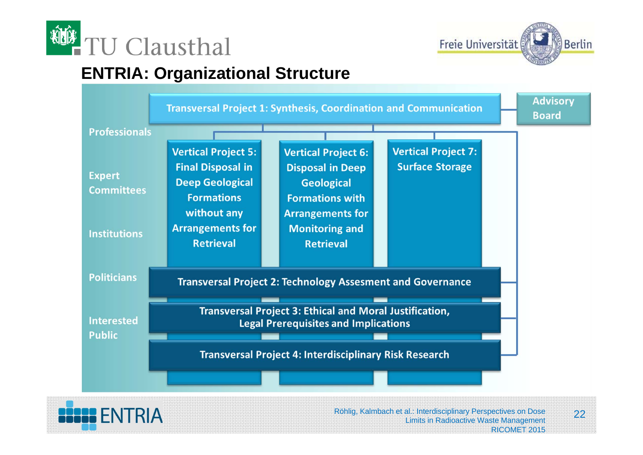



#### **ENTRIA: Organizational Structure**



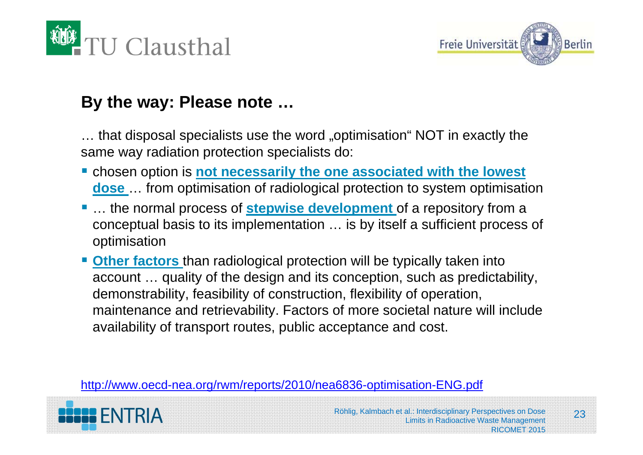



#### **By the way: Please note …**

… that disposal specialists use the word "optimisation" NOT in exactly the same way radiation protection specialists do:

- **Example 1** chosen option is **not necessarily the one associated with the lowest dose** … from optimisation of radiological protection to system optimisation
- $\mathcal{L}_{\mathcal{A}}$  … the normal process of **stepwise development** of a repository from a conceptual basis to its implementation … is by itself a sufficient process of optimisation
- **Ditial Cherfactors** than radiological protection will be typically taken into account … quality of the design and its conception, such as predictability, demonstrability, feasibility of construction, flexibility of operation, maintenance and retrievability. Factors of more societal nature will include availability of transport routes, public acceptance and cost.

http://www.oecd-nea.org/rwm/reports/2010/nea6836-optimisation-ENG.pdf

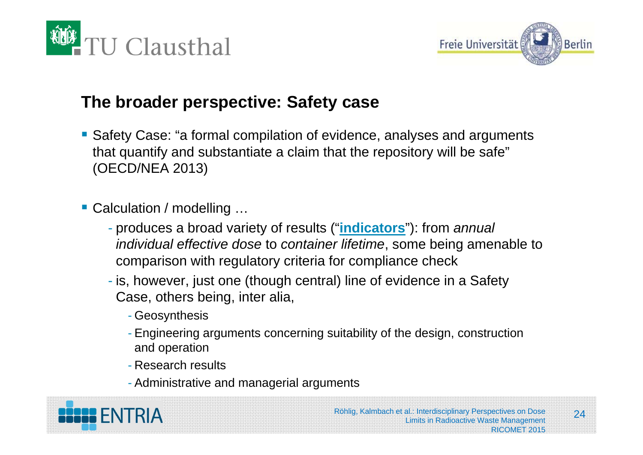



#### **The broader perspective: Safety case**

- Safety Case: "a formal compilation of evidence, analyses and arguments that quantify and substantiate a claim that the repository will be safe" (OECD/NEA 2013)
- Calculation / modelling ...
	- produces a broad variety of results ("**indicators**"): from *annual individual effective dose* to *container lifetime*, some being amenable to comparison with regulatory criteria for compliance check
	- is, however, just one (though central) line of evidence in a Safety Case, others being, inter alia,
		- Geosynthesis
		- Engineering arguments concerning suitability of the design, construction and operation
		- Research results
		- Administrative and managerial arguments